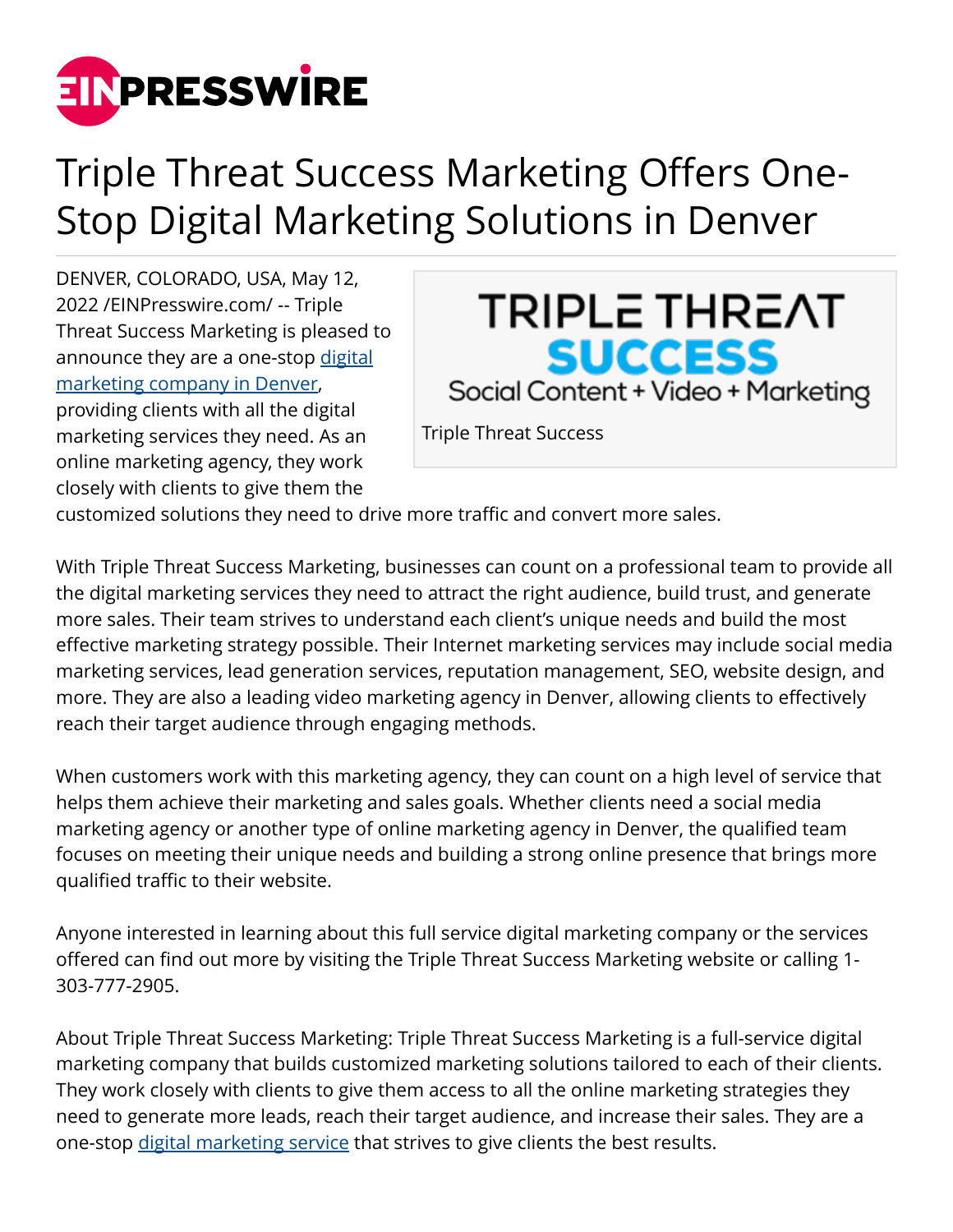

## Triple Threat Success Marketing Offers One-Stop Digital Marketing Solutions in Denver

DENVER, COLORADO, USA, May 12, 2022 /[EINPresswire.com](http://www.einpresswire.com)/ -- Triple Threat Success Marketing is pleased to announce they are a one-stop [digital](http://triplethreatsuccess.com/) [marketing company in Denver](http://triplethreatsuccess.com/), providing clients with all the digital marketing services they need. As an online marketing agency, they work closely with clients to give them the



customized solutions they need to drive more traffic and convert more sales.

With Triple Threat Success Marketing, businesses can count on a professional team to provide all the digital marketing services they need to attract the right audience, build trust, and generate more sales. Their team strives to understand each client's unique needs and build the most effective marketing strategy possible. Their Internet marketing services may include social media marketing services, lead generation services, reputation management, SEO, website design, and more. They are also a leading video marketing agency in Denver, allowing clients to effectively reach their target audience through engaging methods.

When customers work with this marketing agency, they can count on a high level of service that helps them achieve their marketing and sales goals. Whether clients need a social media marketing agency or another type of online marketing agency in Denver, the qualified team focuses on meeting their unique needs and building a strong online presence that brings more qualified traffic to their website.

Anyone interested in learning about this full service digital marketing company or the services offered can find out more by visiting the Triple Threat Success Marketing website or calling 1- 303-777-2905.

About Triple Threat Success Marketing: Triple Threat Success Marketing is a full-service digital marketing company that builds customized marketing solutions tailored to each of their clients. They work closely with clients to give them access to all the online marketing strategies they need to generate more leads, reach their target audience, and increase their sales. They are a one-stop [digital marketing service](https://triplethreatsuccess.com/services/) that strives to give clients the best results.